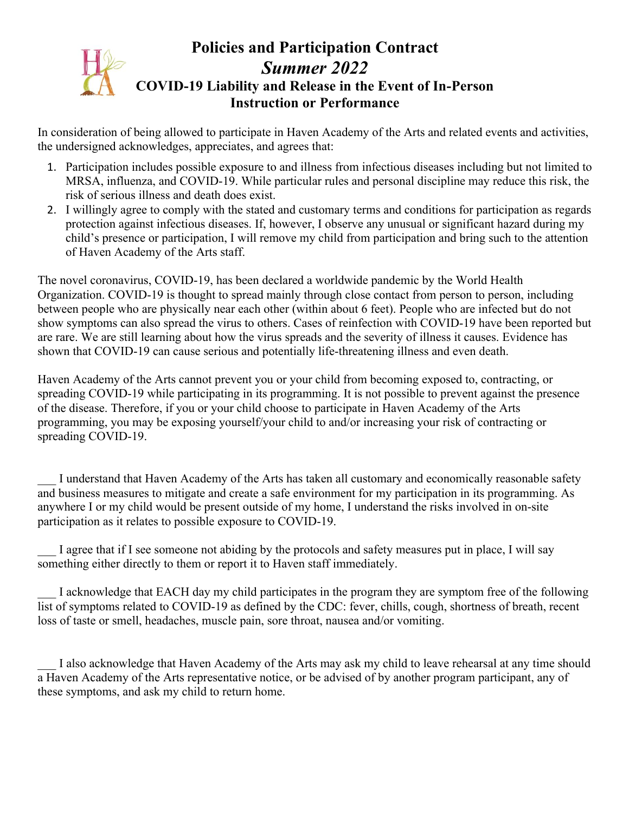## **Policies and Participation Contract** *Summer 2022* **COVID-19 Liability and Release in the Event of In-Person Instruction or Performance**

In consideration of being allowed to participate in Haven Academy of the Arts and related events and activities, the undersigned acknowledges, appreciates, and agrees that:

- 1. Participation includes possible exposure to and illness from infectious diseases including but not limited to MRSA, influenza, and COVID-19. While particular rules and personal discipline may reduce this risk, the risk of serious illness and death does exist.
- 2. I willingly agree to comply with the stated and customary terms and conditions for participation as regards protection against infectious diseases. If, however, I observe any unusual or significant hazard during my child's presence or participation, I will remove my child from participation and bring such to the attention of Haven Academy of the Arts staff.

The novel coronavirus, COVID-19, has been declared a worldwide pandemic by the World Health Organization. COVID-19 is thought to spread mainly through close contact from person to person, including between people who are physically near each other (within about 6 feet). People who are infected but do not show symptoms can also spread the virus to others. Cases of reinfection with COVID-19 have been reported but are rare. We are still learning about how the virus spreads and the severity of illness it causes. Evidence has shown that COVID-19 can cause serious and potentially life-threatening illness and even death.

Haven Academy of the Arts cannot prevent you or your child from becoming exposed to, contracting, or spreading COVID-19 while participating in its programming. It is not possible to prevent against the presence of the disease. Therefore, if you or your child choose to participate in Haven Academy of the Arts programming, you may be exposing yourself/your child to and/or increasing your risk of contracting or spreading COVID-19.

I understand that Haven Academy of the Arts has taken all customary and economically reasonable safety and business measures to mitigate and create a safe environment for my participation in its programming. As anywhere I or my child would be present outside of my home, I understand the risks involved in on-site participation as it relates to possible exposure to COVID-19.

I agree that if I see someone not abiding by the protocols and safety measures put in place, I will say something either directly to them or report it to Haven staff immediately.

I acknowledge that EACH day my child participates in the program they are symptom free of the following list of symptoms related to COVID-19 as defined by the CDC: fever, chills, cough, shortness of breath, recent loss of taste or smell, headaches, muscle pain, sore throat, nausea and/or vomiting.

I also acknowledge that Haven Academy of the Arts may ask my child to leave rehearsal at any time should a Haven Academy of the Arts representative notice, or be advised of by another program participant, any of these symptoms, and ask my child to return home.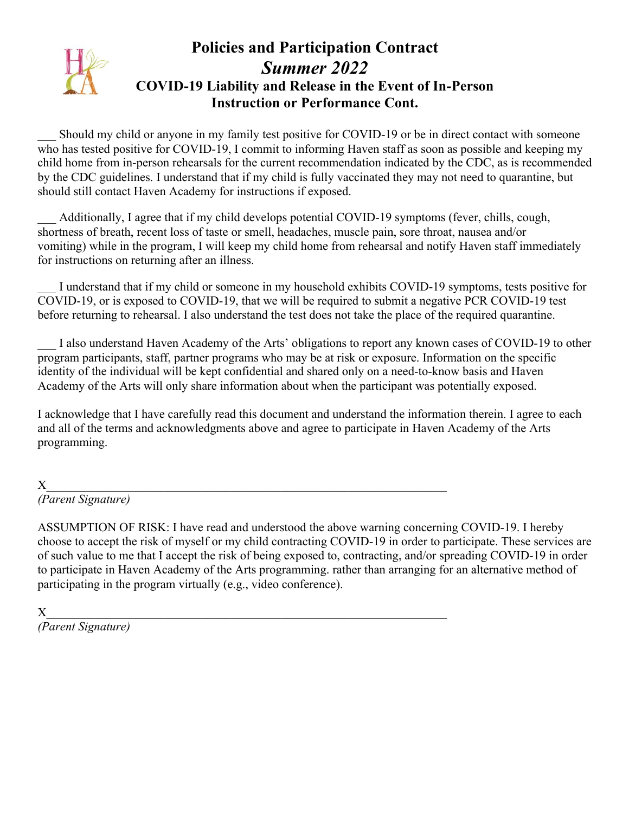# **Policies and Participation Contract** *Summer 2022* **COVID-19 Liability and Release in the Event of In-Person Instruction or Performance Cont.**

Should my child or anyone in my family test positive for COVID-19 or be in direct contact with someone who has tested positive for COVID-19, I commit to informing Haven staff as soon as possible and keeping my child home from in-person rehearsals for the current recommendation indicated by the CDC, as is recommended by the CDC guidelines. I understand that if my child is fully vaccinated they may not need to quarantine, but should still contact Haven Academy for instructions if exposed.

Additionally, I agree that if my child develops potential COVID-19 symptoms (fever, chills, cough, shortness of breath, recent loss of taste or smell, headaches, muscle pain, sore throat, nausea and/or vomiting) while in the program, I will keep my child home from rehearsal and notify Haven staff immediately for instructions on returning after an illness.

I understand that if my child or someone in my household exhibits COVID-19 symptoms, tests positive for COVID-19, or is exposed to COVID-19, that we will be required to submit a negative PCR COVID-19 test before returning to rehearsal. I also understand the test does not take the place of the required quarantine.

I also understand Haven Academy of the Arts' obligations to report any known cases of COVID-19 to other program participants, staff, partner programs who may be at risk or exposure. Information on the specific identity of the individual will be kept confidential and shared only on a need-to-know basis and Haven Academy of the Arts will only share information about when the participant was potentially exposed.

I acknowledge that I have carefully read this document and understand the information therein. I agree to each and all of the terms and acknowledgments above and agree to participate in Haven Academy of the Arts programming.

## $X$  and the set of the set of the set of the set of the set of the set of the set of the set of the set of the set of the set of the set of the set of the set of the set of the set of the set of the set of the set of the

*(Parent Signature)* 

ASSUMPTION OF RISK: I have read and understood the above warning concerning COVID-19. I hereby choose to accept the risk of myself or my child contracting COVID-19 in order to participate. These services are of such value to me that I accept the risk of being exposed to, contracting, and/or spreading COVID-19 in order to participate in Haven Academy of the Arts programming. rather than arranging for an alternative method of participating in the program virtually (e.g., video conference).

## $X$

*(Parent Signature)*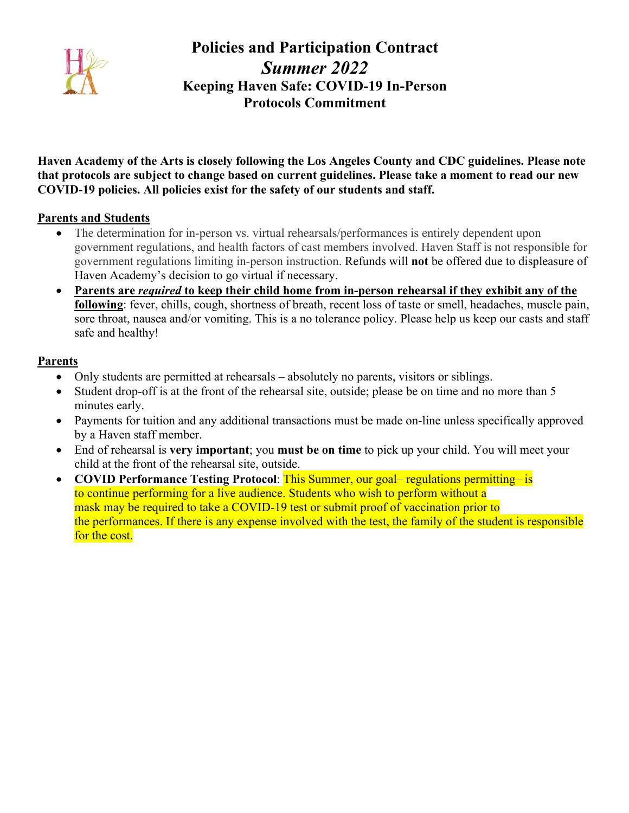

# **Policies and Participation Contract** *Summer 2022* **Keeping Haven Safe: COVID-19 In-Person Protocols Commitment**

**Haven Academy of the Arts is closely following the Los Angeles County and CDC guidelines. Please note that protocols are subject to change based on current guidelines. Please take a moment to read our new COVID-19 policies. All policies exist for the safety of our students and staff.**

#### **Parents and Students**

- The determination for in-person vs. virtual rehearsals/performances is entirely dependent upon government regulations, and health factors of cast members involved. Haven Staff is not responsible for government regulations limiting in-person instruction. Refunds will **not** be offered due to displeasure of Haven Academy's decision to go virtual if necessary.
- **Parents are** *required* **to keep their child home from in-person rehearsal if they exhibit any of the following**: fever, chills, cough, shortness of breath, recent loss of taste or smell, headaches, muscle pain, sore throat, nausea and/or vomiting. This is a no tolerance policy. Please help us keep our casts and staff safe and healthy!

#### **Parents**

- Only students are permitted at rehearsals absolutely no parents, visitors or siblings.
- Student drop-off is at the front of the rehearsal site, outside; please be on time and no more than 5 minutes early.
- Payments for tuition and any additional transactions must be made on-line unless specifically approved by a Haven staff member.
- End of rehearsal is **very important**; you **must be on time** to pick up your child. You will meet your child at the front of the rehearsal site, outside.
- **COVID Performance Testing Protocol**: This Summer, our goal– regulations permitting– is to continue performing for a live audience. Students who wish to perform without a mask may be required to take a COVID-19 test or submit proof of vaccination prior to the performances. If there is any expense involved with the test, the family of the student is responsible for the cost.